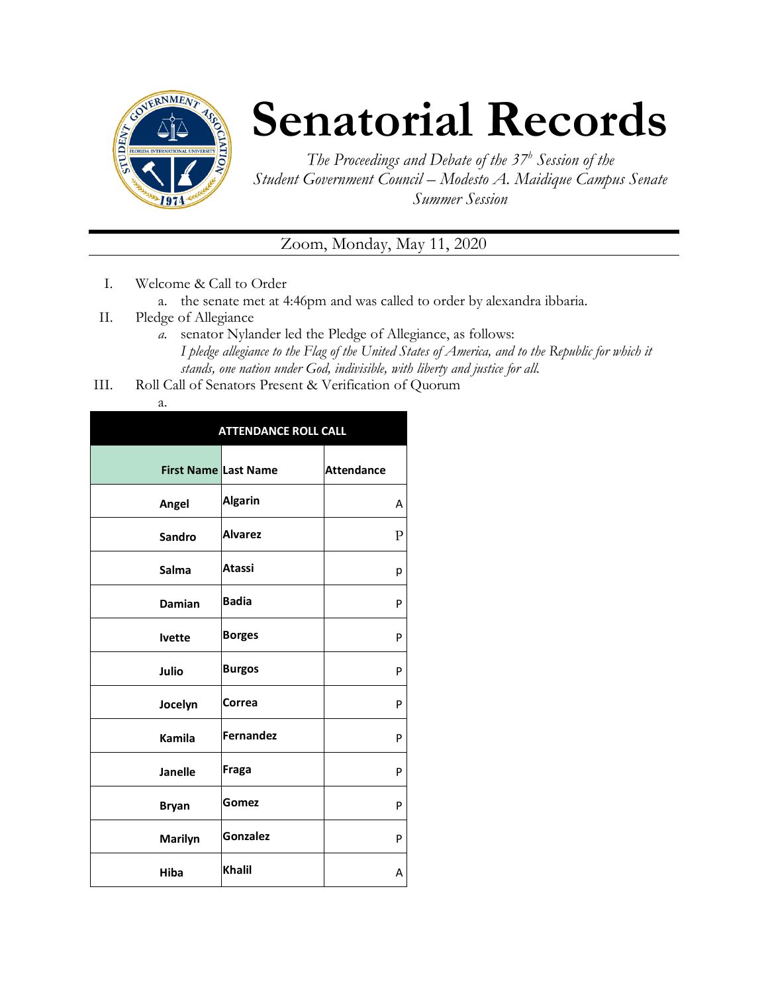

## **Senatorial Records**

*The Proceedings and Debate of the 37<sup>h</sup> Session of the Student Government Council – Modesto A. Maidique Campus Senate Summer Session*

Zoom, Monday, May 11, 2020

- I. Welcome & Call to Order
	- a. the senate met at 4:46pm and was called to order by alexandra ibbaria.
- II. Pledge of Allegiance
	- *a.* senator Nylander led the Pledge of Allegiance, as follows: *I pledge allegiance to the Flag of the United States of America, and to the Republic for which it stands, one nation under God, indivisible, with liberty and justice for all.*
- III. Roll Call of Senators Present & Verification of Quorum

|                             | <b>ATTENDANCE ROLL CALL</b> |                   |
|-----------------------------|-----------------------------|-------------------|
| <b>First Name Last Name</b> |                             | <b>Attendance</b> |
| Angel                       | <b>Algarin</b>              | A                 |
| Sandro                      | <b>Alvarez</b>              | $\mathbf{P}$      |
| Salma                       | <b>Atassi</b>               | р                 |
| <b>Damian</b>               | <b>Badia</b>                | P                 |
| <b>lvette</b>               | <b>Borges</b>               | P                 |
| Julio                       | <b>Burgos</b>               | P                 |
| Jocelyn                     | Correa                      | P                 |
| <b>Kamila</b>               | <b>Fernandez</b>            | P                 |
| <b>Janelle</b>              | Fraga                       | P                 |
| <b>Bryan</b>                | Gomez                       | P                 |
| Marilyn                     | Gonzalez                    | P                 |
| Hiba                        | <b>Khalil</b>               | Α                 |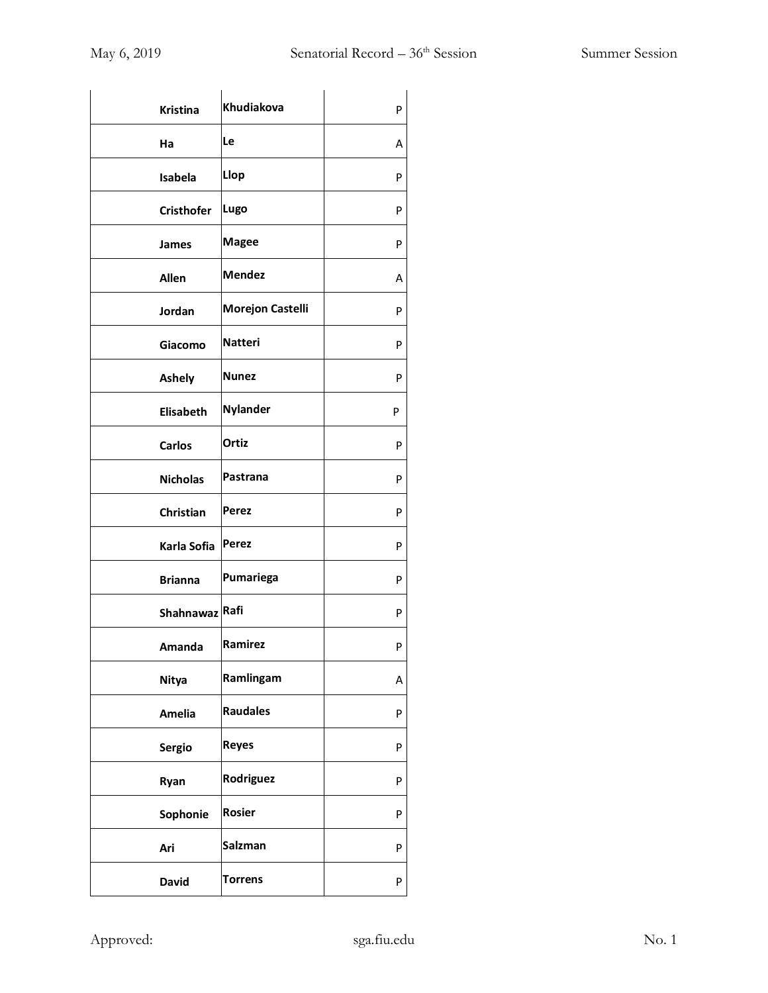| Khudiakova              | P |
|-------------------------|---|
| Le                      | Α |
| Llop                    | P |
| Lugo                    | P |
| <b>Magee</b>            | P |
| <b>Mendez</b>           | Α |
| <b>Morejon Castelli</b> | P |
| <b>Natteri</b>          | P |
| <b>Nunez</b>            | P |
| Nylander                | P |
| Ortiz                   | P |
| Pastrana                | P |
| Perez                   | P |
| <b>Perez</b>            | P |
| Pumariega               | P |
| Shahnawaz Rafi          | P |
| Ramirez                 | P |
| Ramlingam               | Α |
| <b>Raudales</b>         | P |
| <b>Reyes</b>            | P |
| Rodriguez               | P |
| <b>Rosier</b>           | P |
| Salzman                 | P |
| <b>Torrens</b>          | P |
|                         |   |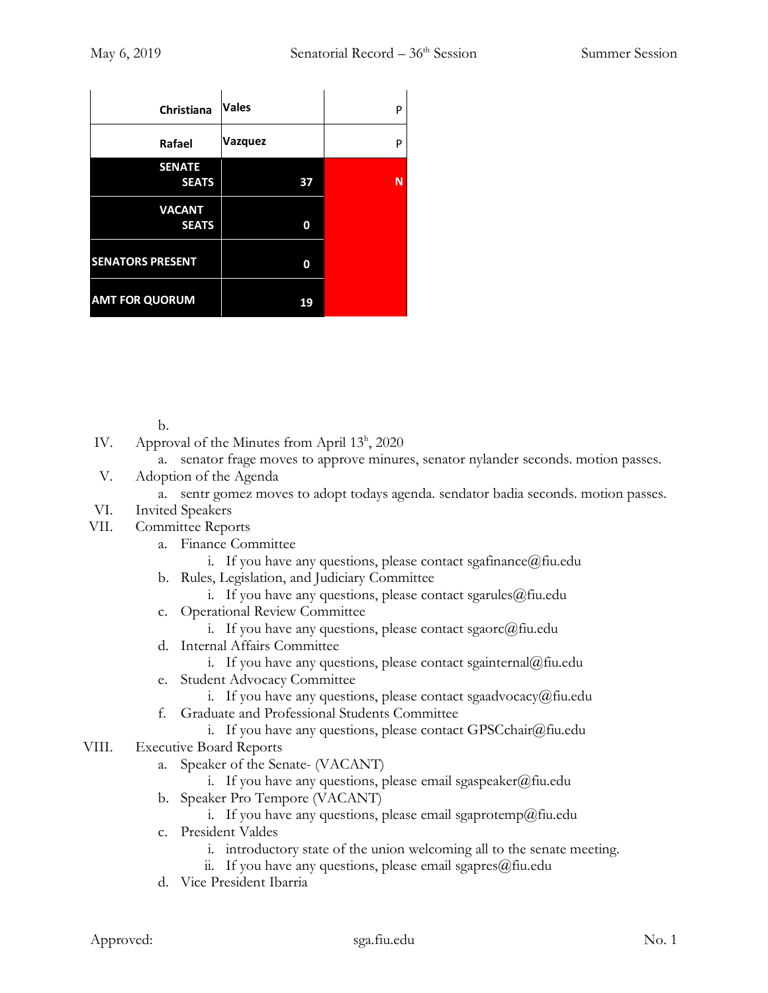| Christiana              | <b>Vales</b> | P |
|-------------------------|--------------|---|
| Rafael                  | Vazquez      | P |
| <b>SENATE</b>           |              |   |
| <b>SEATS</b>            | 37           | N |
| <b>VACANT</b>           |              |   |
| <b>SEATS</b>            | 0            |   |
|                         |              |   |
| <b>SENATORS PRESENT</b> | 0            |   |
| <b>AMT FOR QUORUM</b>   | 19           |   |

b.

- IV. Approval of the Minutes from April 13<sup>h</sup>, 2020
	- a. senator frage moves to approve minures, senator nylander seconds. motion passes.
- V. Adoption of the Agenda
	- a. sentr gomez moves to adopt todays agenda. sendator badia seconds. motion passes.
- VI. Invited Speakers
- VII. Committee Reports
	- a. Finance Committee
		- i. If you have any questions, please contact sgafinance  $\omega$  fiu.edu
	- b. Rules, Legislation, and Judiciary Committee
		- i. If you have any questions, please contact sgarules $@$ fiu.edu
	- c. Operational Review Committee
		- i. If you have any questions, please contact sgaorc@fiu.edu
	- d. Internal Affairs Committee
		- i. If you have any questions, please contact sgainternal@fiu.edu
	- e. Student Advocacy Committee
		- i. If you have any questions, please contact sgaadvocacy@fiu.edu
	- f. Graduate and Professional Students Committee
		- i. If you have any questions, please contact GPSCchair@fiu.edu
- VIII. Executive Board Reports
	- a. Speaker of the Senate- (VACANT)
		- i. If you have any questions, please email sgaspeaker@fiu.edu
	- b. Speaker Pro Tempore (VACANT)
		- i. If you have any questions, please email sgaprotemp@fiu.edu
	- c. President Valdes
		- i. introductory state of the union welcoming all to the senate meeting.
		- ii. If you have any questions, please email sgapres $@$ fiu.edu
	- d. Vice President Ibarria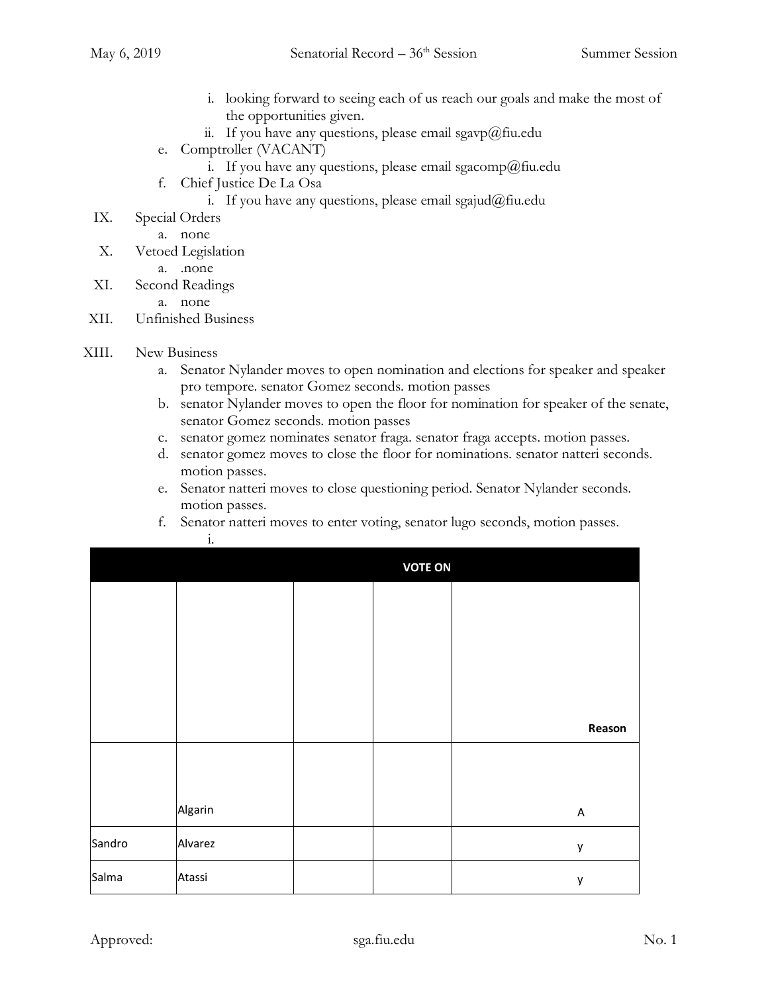- i. looking forward to seeing each of us reach our goals and make the most of the opportunities given.
- ii. If you have any questions, please email sgavp@fiu.edu
- e. Comptroller (VACANT)
	- i. If you have any questions, please email sgacomp@fiu.edu
- f. Chief Justice De La Osa
	- i. If you have any questions, please email sgajud@fiu.edu
- IX. Special Orders
	- a. none
- X. Vetoed Legislation
	- a. .none
- XI. Second Readings
	- a. none
- XII. Unfinished Business
- XIII. New Business
	- a. Senator Nylander moves to open nomination and elections for speaker and speaker pro tempore. senator Gomez seconds. motion passes
	- b. senator Nylander moves to open the floor for nomination for speaker of the senate, senator Gomez seconds. motion passes
	- c. senator gomez nominates senator fraga. senator fraga accepts. motion passes.
	- d. senator gomez moves to close the floor for nominations. senator natteri seconds. motion passes.
	- e. Senator natteri moves to close questioning period. Senator Nylander seconds. motion passes.
	- f. Senator natteri moves to enter voting, senator lugo seconds, motion passes. i.

|        |         | <b>VOTE ON</b> |         |
|--------|---------|----------------|---------|
|        |         |                |         |
|        |         |                |         |
|        |         |                |         |
|        |         |                |         |
|        |         |                | Reason  |
|        |         |                |         |
|        |         |                |         |
|        | Algarin |                | $\sf A$ |
| Sandro | Alvarez |                | y       |
| Salma  | Atassi  |                | y       |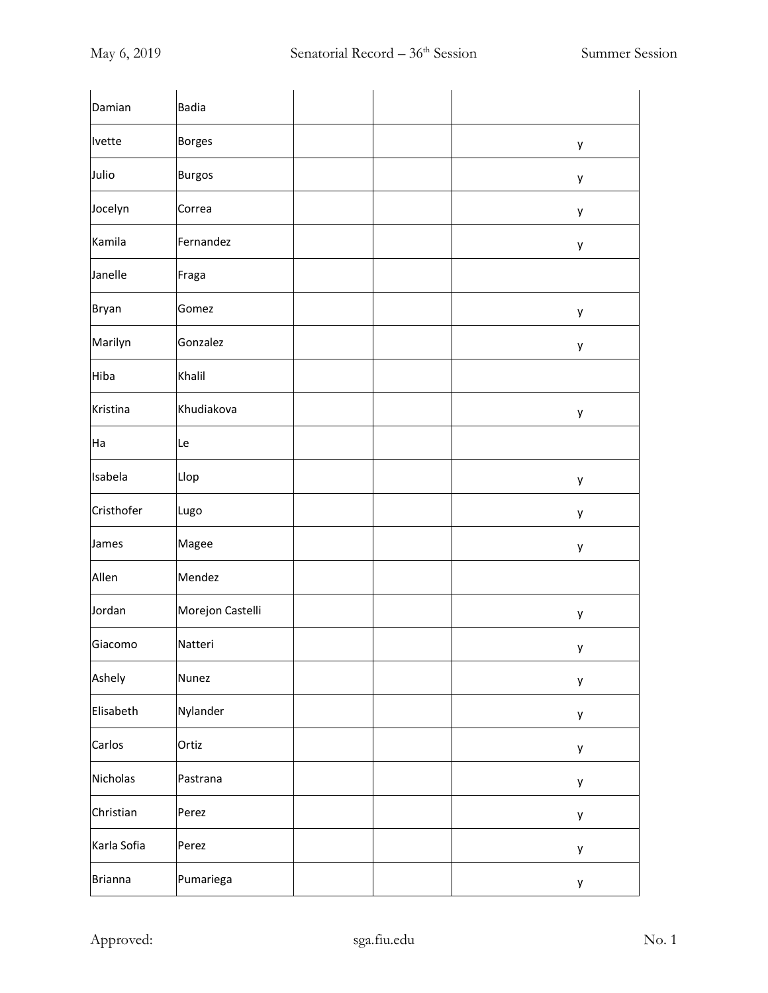| Damian         | <b>Badia</b>     |  |   |
|----------------|------------------|--|---|
| Ivette         | <b>Borges</b>    |  | у |
| Julio          | <b>Burgos</b>    |  | у |
| Jocelyn        | Correa           |  | у |
| Kamila         | Fernandez        |  | у |
| Janelle        | Fraga            |  |   |
| <b>Bryan</b>   | Gomez            |  | у |
| Marilyn        | Gonzalez         |  | у |
| Hiba           | Khalil           |  |   |
| Kristina       | Khudiakova       |  | у |
| Ha             | Le               |  |   |
| Isabela        | Llop             |  | у |
| Cristhofer     | Lugo             |  | у |
| James          | Magee            |  | у |
| Allen          | Mendez           |  |   |
| Jordan         | Morejon Castelli |  | у |
| Giacomo        | Natteri          |  | у |
| Ashely         | Nunez            |  | у |
| Elisabeth      | Nylander         |  | у |
| Carlos         | Ortiz            |  | у |
| Nicholas       | Pastrana         |  | у |
| Christian      | Perez            |  | у |
| Karla Sofia    | Perez            |  | у |
| <b>Brianna</b> | Pumariega        |  | у |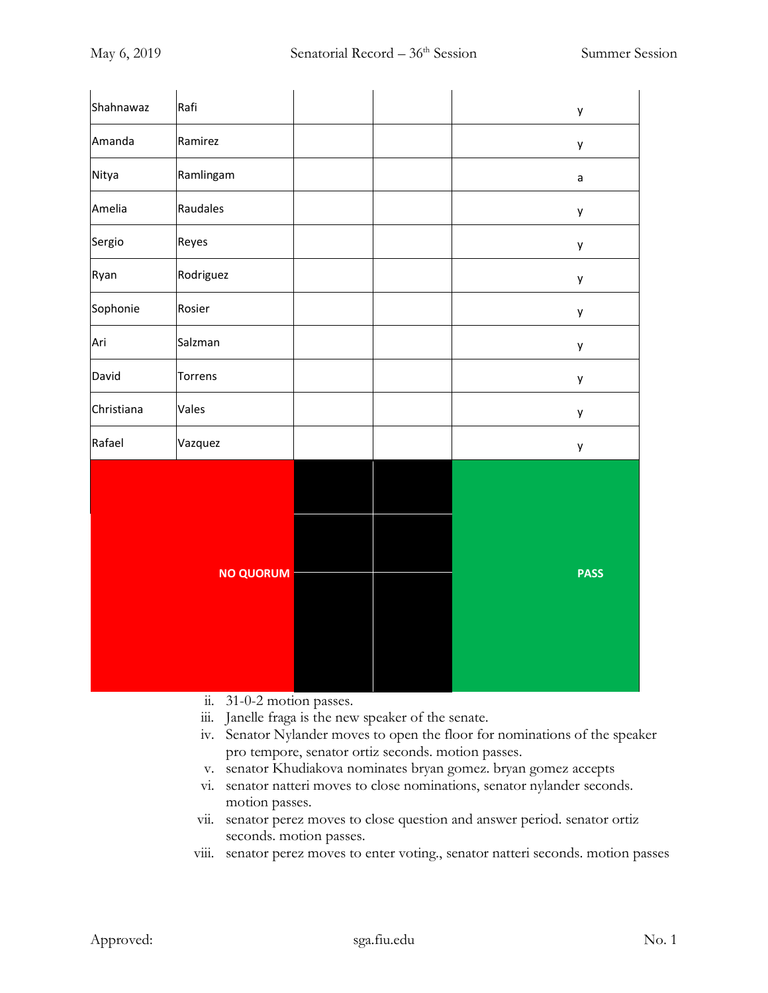| Shahnawaz  | Rafi             |  | y           |
|------------|------------------|--|-------------|
| Amanda     | Ramirez          |  | y           |
| Nitya      | Ramlingam        |  | $\mathsf a$ |
| Amelia     | Raudales         |  | y           |
| Sergio     | Reyes            |  | y           |
| Ryan       | Rodriguez        |  | y           |
| Sophonie   | Rosier           |  | y           |
| Ari        | Salzman          |  | y           |
| David      | Torrens          |  | y           |
| Christiana | Vales            |  | y           |
| Rafael     | Vazquez          |  | y           |
|            | <b>NO QUORUM</b> |  | <b>PASS</b> |
|            |                  |  |             |

- ii. 31-0-2 motion passes.
- iii. Janelle fraga is the new speaker of the senate.
- iv. Senator Nylander moves to open the floor for nominations of the speaker pro tempore, senator ortiz seconds. motion passes.
- v. senator Khudiakova nominates bryan gomez. bryan gomez accepts
- vi. senator natteri moves to close nominations, senator nylander seconds. motion passes.
- vii. senator perez moves to close question and answer period. senator ortiz seconds. motion passes.
- viii. senator perez moves to enter voting., senator natteri seconds. motion passes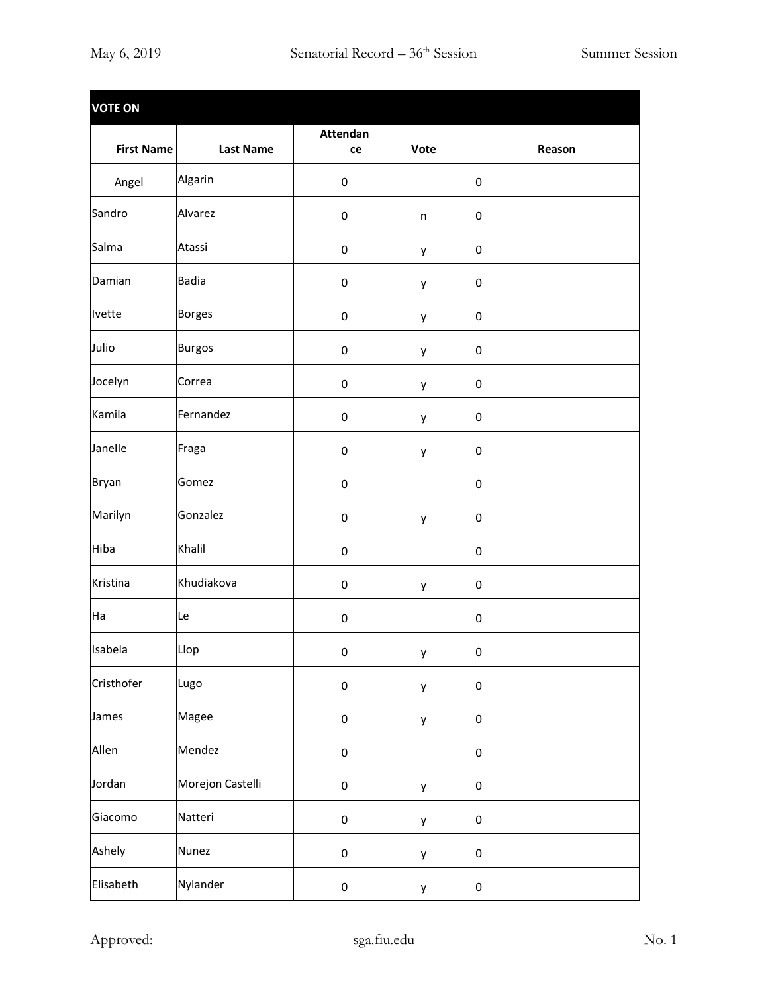| <b>VOTE ON</b>    |                  |                |              |           |        |
|-------------------|------------------|----------------|--------------|-----------|--------|
| <b>First Name</b> | <b>Last Name</b> | Attendan<br>ce | Vote         |           | Reason |
| Angel             | Algarin          | $\pmb{0}$      |              | $\pmb{0}$ |        |
| Sandro            | Alvarez          | $\pmb{0}$      | $\mathsf{n}$ | $\pmb{0}$ |        |
| Salma             | Atassi           | $\pmb{0}$      | у            | $\pmb{0}$ |        |
| Damian            | <b>Badia</b>     | $\pmb{0}$      | у            | $\pmb{0}$ |        |
| Ivette            | <b>Borges</b>    | $\pmb{0}$      | у            | $\pmb{0}$ |        |
| Julio             | <b>Burgos</b>    | $\pmb{0}$      | у            | $\pmb{0}$ |        |
| Jocelyn           | Correa           | 0              | у            | $\pmb{0}$ |        |
| Kamila            | Fernandez        | 0              | у            | $\pmb{0}$ |        |
| Janelle           | Fraga            | $\pmb{0}$      | y            | $\pmb{0}$ |        |
| <b>Bryan</b>      | Gomez            | $\pmb{0}$      |              | $\pmb{0}$ |        |
| Marilyn           | Gonzalez         | $\pmb{0}$      | у            | $\pmb{0}$ |        |
| Hiba              | Khalil           | $\pmb{0}$      |              | $\pmb{0}$ |        |
| Kristina          | Khudiakova       | $\pmb{0}$      | у            | $\pmb{0}$ |        |
| Ha                | Le               | $\pmb{0}$      |              | $\pmb{0}$ |        |
| Isabela           | Llop             | $\mathbf 0$    | y            | $\pmb{0}$ |        |
| Cristhofer        | Lugo             | $\pmb{0}$      | y            | $\pmb{0}$ |        |
| James             | Magee            | $\pmb{0}$      | y            | $\pmb{0}$ |        |
| Allen             | Mendez           | $\pmb{0}$      |              | $\pmb{0}$ |        |
| Jordan            | Morejon Castelli | $\pmb{0}$      | у            | $\pmb{0}$ |        |
| Giacomo           | Natteri          | $\pmb{0}$      | у            | $\pmb{0}$ |        |
| Ashely            | <b>Nunez</b>     | $\pmb{0}$      | y            | $\pmb{0}$ |        |
| Elisabeth         | Nylander         | $\pmb{0}$      | у            | $\pmb{0}$ |        |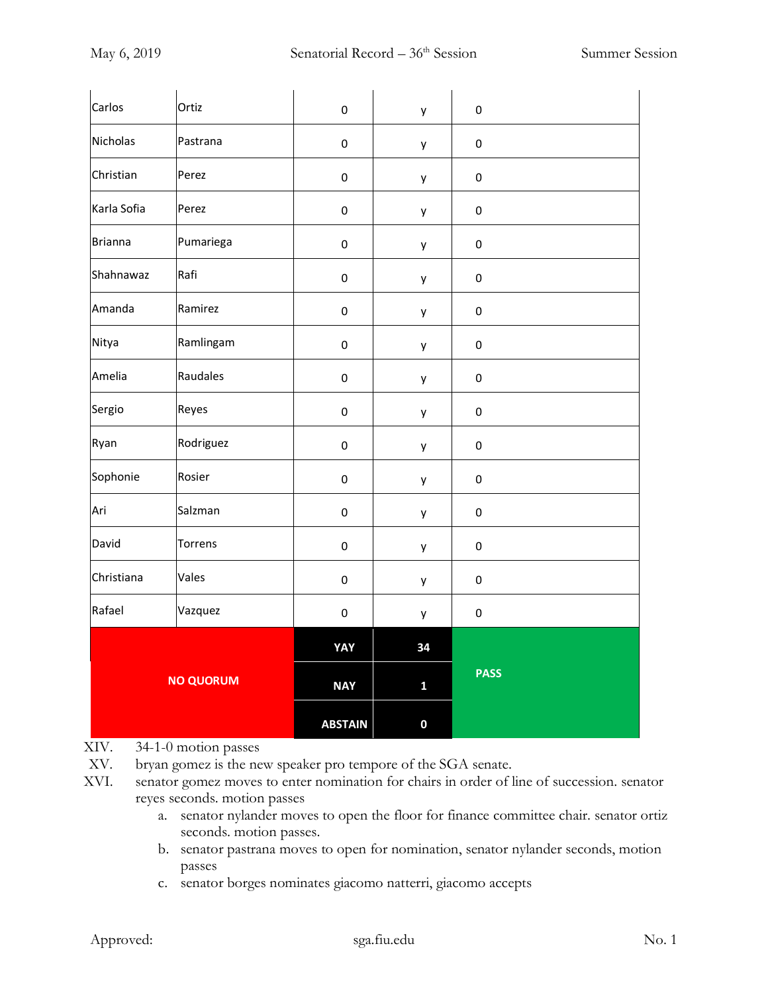| Carlos           | Ortiz     | $\pmb{0}$      | y            | $\pmb{0}$   |
|------------------|-----------|----------------|--------------|-------------|
| Nicholas         | Pastrana  | $\pmb{0}$      | y            | $\pmb{0}$   |
| Christian        | Perez     | $\pmb{0}$      | y            | $\pmb{0}$   |
| Karla Sofia      | Perez     | $\pmb{0}$      | y            | $\pmb{0}$   |
| Brianna          | Pumariega | $\pmb{0}$      | y            | $\pmb{0}$   |
| Shahnawaz        | Rafi      | $\mathbf 0$    | у            | $\pmb{0}$   |
| Amanda           | Ramirez   | $\mathbf 0$    | у            | $\pmb{0}$   |
| Nitya            | Ramlingam | $\pmb{0}$      | у            | $\pmb{0}$   |
| Amelia           | Raudales  | $\pmb{0}$      | y            | $\pmb{0}$   |
| Sergio           | Reyes     | $\mathbf 0$    | y            | $\pmb{0}$   |
| Ryan             | Rodriguez | $\pmb{0}$      | у            | $\pmb{0}$   |
| Sophonie         | Rosier    | $\pmb{0}$      | y            | $\pmb{0}$   |
| Ari              | Salzman   | $\mathbf 0$    | y            | $\pmb{0}$   |
| David            | Torrens   | $\pmb{0}$      | у            | $\pmb{0}$   |
| Christiana       | Vales     | $\pmb{0}$      | y            | $\pmb{0}$   |
| Rafael           | Vazquez   | $\mathbf 0$    | у            | $\pmb{0}$   |
|                  |           | YAY            | 34           |             |
| <b>NO QUORUM</b> |           | <b>NAY</b>     | $\mathbf{1}$ | <b>PASS</b> |
|                  |           | <b>ABSTAIN</b> | $\mathbf 0$  |             |

## XIV. 34-1-0 motion passes

XV. bryan gomez is the new speaker pro tempore of the SGA senate.

- XVI. senator gomez moves to enter nomination for chairs in order of line of succession. senator reyes seconds. motion passes
	- a. senator nylander moves to open the floor for finance committee chair. senator ortiz seconds. motion passes.
	- b. senator pastrana moves to open for nomination, senator nylander seconds, motion passes
	- c. senator borges nominates giacomo natterri, giacomo accepts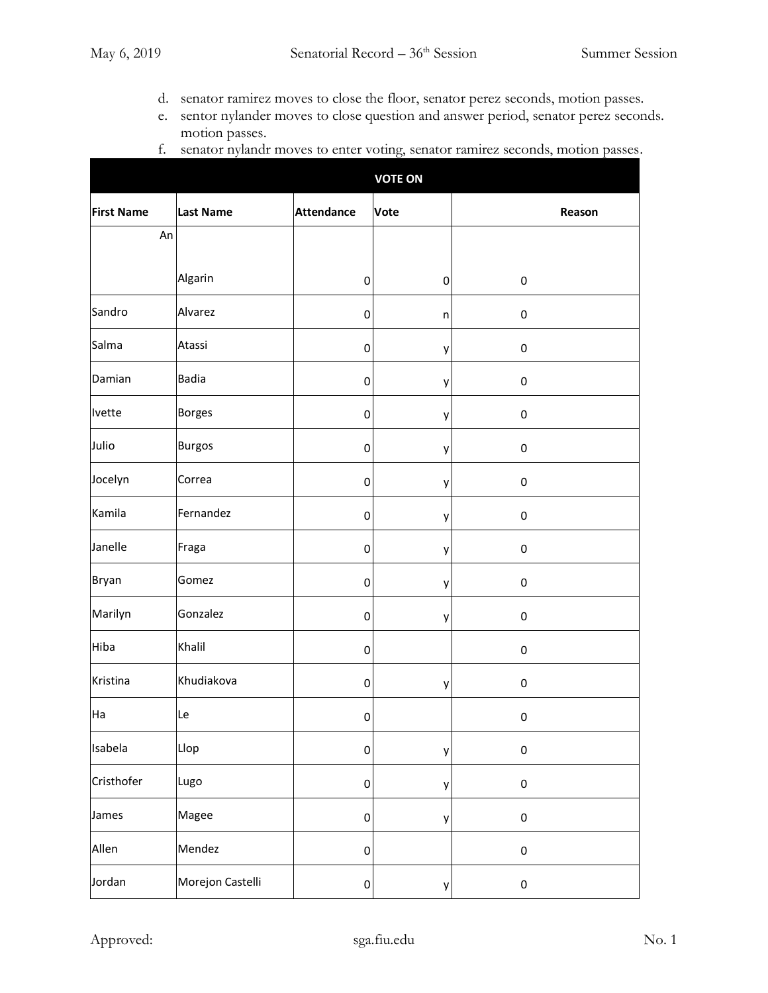- d. senator ramirez moves to close the floor, senator perez seconds, motion passes.
- e. sentor nylander moves to close question and answer period, senator perez seconds. motion passes.

|                   |                  |                   | <b>VOTE ON</b> |             |
|-------------------|------------------|-------------------|----------------|-------------|
| <b>First Name</b> | <b>Last Name</b> | <b>Attendance</b> | Vote           | Reason      |
| An                |                  |                   |                |             |
|                   | Algarin          | 0                 | 0              | $\pmb{0}$   |
| Sandro            | Alvarez          | 0                 | n              | $\pmb{0}$   |
| Salma             | Atassi           | 0                 | у              | $\mathbf 0$ |
| Damian            | <b>Badia</b>     | 0                 | у              | $\pmb{0}$   |
| Ivette            | <b>Borges</b>    | 0                 | у              | $\pmb{0}$   |
| Julio             | <b>Burgos</b>    | 0                 | у              | $\pmb{0}$   |
| Jocelyn           | Correa           | 0                 | у              | $\mathbf 0$ |
| Kamila            | Fernandez        | 0                 | у              | $\pmb{0}$   |
| Janelle           | Fraga            | 0                 | у              | $\pmb{0}$   |
| <b>Bryan</b>      | Gomez            | $\pmb{0}$         | у              | $\pmb{0}$   |
| Marilyn           | Gonzalez         | $\mathbf 0$       | у              | 0           |
| Hiba              | Khalil           | 0                 |                | $\pmb{0}$   |
| Kristina          | Khudiakova       | 0                 | у              | $\pmb{0}$   |
| Ha                | Le               | $\mathbf 0$       |                | 0           |
| Isabela           | Llop             | $\pmb{0}$         | у              | $\pmb{0}$   |
| Cristhofer        | Lugo             | $\mathbf 0$       | у              | $\pmb{0}$   |
| James             | Magee            | $\mathbf 0$       | y              | $\pmb{0}$   |
| Allen             | Mendez           | $\mathbf 0$       |                | $\pmb{0}$   |
| Jordan            | Morejon Castelli | $\pmb{0}$         | у              | $\pmb{0}$   |

f. senator nylandr moves to enter voting, senator ramirez seconds, motion passes.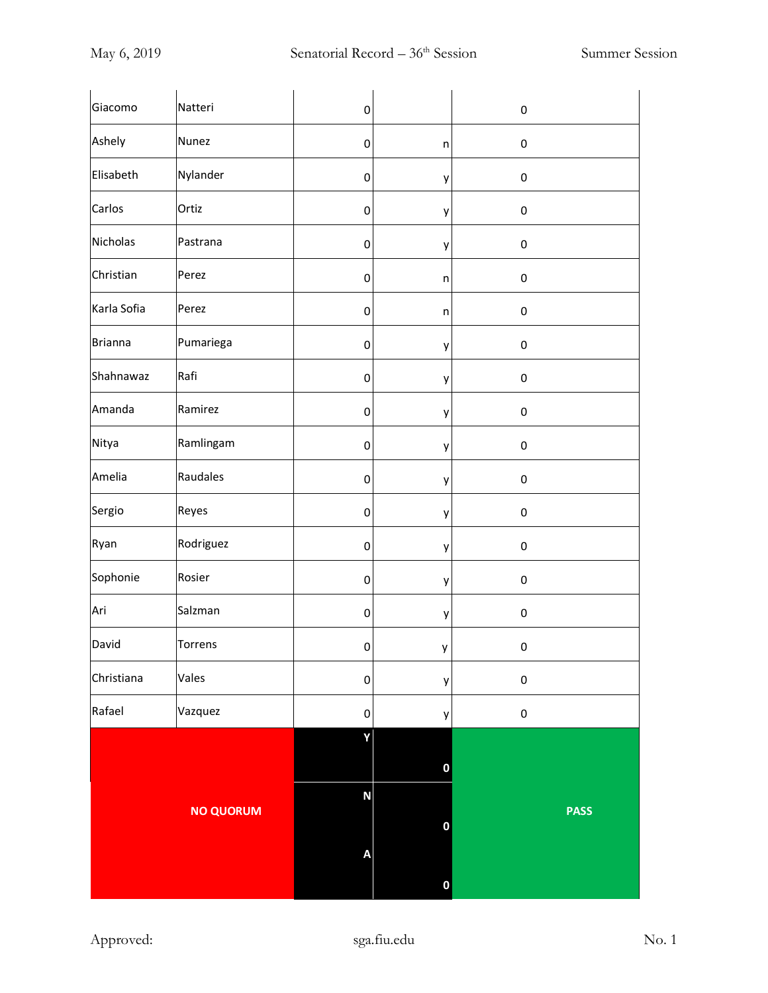| Giacomo          | Natteri   | $\pmb{0}$      |                  | $\pmb{0}$   |
|------------------|-----------|----------------|------------------|-------------|
| Ashely           | Nunez     | $\pmb{0}$      | $\sf n$          | $\pmb{0}$   |
| Elisabeth        | Nylander  | $\pmb{0}$      | у                | $\pmb{0}$   |
| Carlos           | Ortiz     | $\pmb{0}$      | у                | $\pmb{0}$   |
| <b>Nicholas</b>  | Pastrana  | $\pmb{0}$      | у                | $\pmb{0}$   |
| Christian        | Perez     | $\pmb{0}$      | $\sf n$          | $\pmb{0}$   |
| Karla Sofia      | Perez     | $\pmb{0}$      | $\sf n$          | $\pmb{0}$   |
| <b>Brianna</b>   | Pumariega | $\pmb{0}$      | у                | $\pmb{0}$   |
| Shahnawaz        | Rafi      | $\pmb{0}$      | у                | $\pmb{0}$   |
| Amanda           | Ramirez   | $\pmb{0}$      | у                | $\pmb{0}$   |
| Nitya            | Ramlingam | $\pmb{0}$      | у                | $\pmb{0}$   |
| Amelia           | Raudales  | $\pmb{0}$      | у                | $\pmb{0}$   |
| Sergio           | Reyes     | $\pmb{0}$      | у                | $\pmb{0}$   |
| Ryan             | Rodriguez | $\pmb{0}$      | у                | $\pmb{0}$   |
| Sophonie         | Rosier    | $\pmb{0}$      | у                | $\pmb{0}$   |
| Ari              | Salzman   | $\pmb{0}$      | у                | $\pmb{0}$   |
| David            | Torrens   | $\overline{0}$ | y                | $\pmb{0}$   |
| Christiana       | Vales     | $\overline{0}$ | у                | $\pmb{0}$   |
| Rafael           | Vazquez   | $\pmb{0}$      | у                | $\pmb{0}$   |
|                  |           | Y              | $\boldsymbol{0}$ |             |
| <b>NO QUORUM</b> |           | N              | $\mathbf 0$      | <b>PASS</b> |
|                  |           | A              | $\mathbf 0$      |             |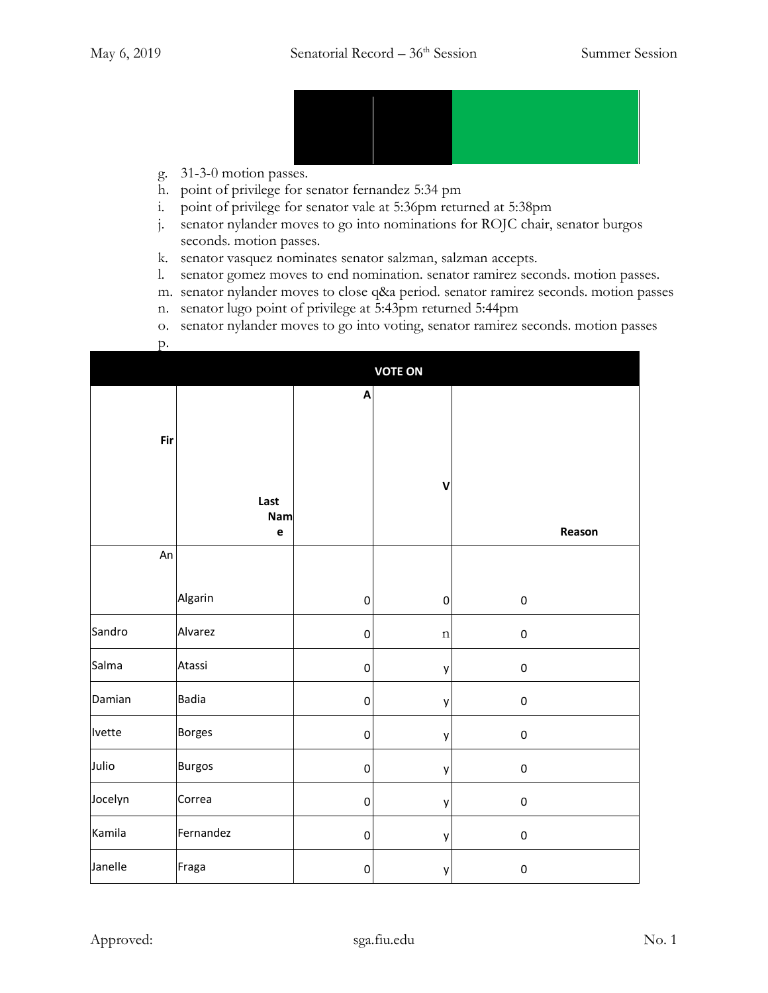

- g. 31-3-0 motion passes.
- h. point of privilege for senator fernandez 5:34 pm
- i. point of privilege for senator vale at 5:36pm returned at 5:38pm
- j. senator nylander moves to go into nominations for ROJC chair, senator burgos seconds. motion passes.
- k. senator vasquez nominates senator salzman, salzman accepts.
- l. senator gomez moves to end nomination. senator ramirez seconds. motion passes.
- m. senator nylander moves to close q&a period. senator ramirez seconds. motion passes
- n. senator lugo point of privilege at 5:43pm returned 5:44pm
- o. senator nylander moves to go into voting, senator ramirez seconds. motion passes
- p.

|         |                            |             | <b>VOTE ON</b> |             |
|---------|----------------------------|-------------|----------------|-------------|
|         |                            | A           |                |             |
| Fir     |                            |             |                |             |
|         | Last<br>Nam<br>$\mathbf e$ |             | $\mathbf v$    | Reason      |
| An      |                            |             |                |             |
|         | Algarin                    | $\pmb{0}$   | $\pmb{0}$      | $\mathbf 0$ |
| Sandro  | Alvarez                    | $\pmb{0}$   | $\mathbf n$    | $\pmb{0}$   |
| Salma   | Atassi                     | $\mathbf 0$ | y              | $\mathbf 0$ |
| Damian  | <b>Badia</b>               | $\mathbf 0$ | у              | $\mathbf 0$ |
| Ivette  | <b>Borges</b>              | $\pmb{0}$   | y              | $\mathbf 0$ |
| Julio   | <b>Burgos</b>              | $\mathbf 0$ | y              | $\pmb{0}$   |
| Jocelyn | Correa                     | $\pmb{0}$   | y              | $\pmb{0}$   |
| Kamila  | Fernandez                  | $\mathbf 0$ | y              | $\mathbf 0$ |
| Janelle | Fraga                      | $\mathbf 0$ | y              | $\mathbf 0$ |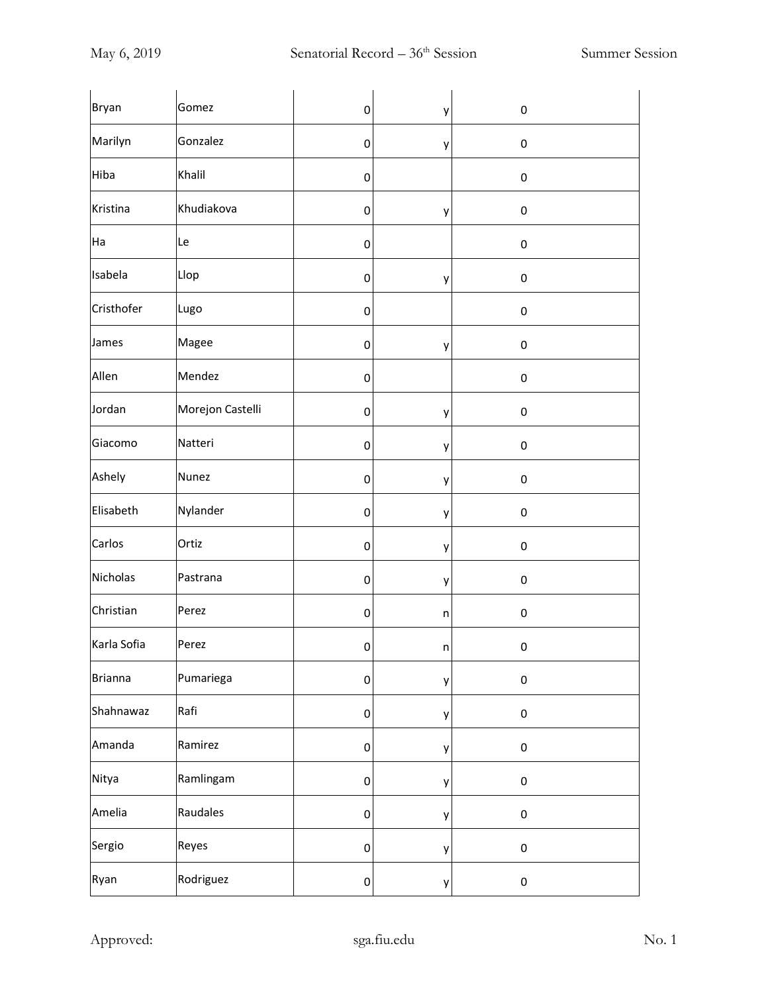| Bryan          | Gomez            | $\pmb{0}$ | у       | $\pmb{0}$ |
|----------------|------------------|-----------|---------|-----------|
| Marilyn        | Gonzalez         | $\pmb{0}$ | у       | $\pmb{0}$ |
| Hiba           | Khalil           | $\pmb{0}$ |         | $\pmb{0}$ |
| Kristina       | Khudiakova       | $\pmb{0}$ | у       | $\pmb{0}$ |
| Ha             | Le               | $\pmb{0}$ |         | $\pmb{0}$ |
| Isabela        | Llop             | $\pmb{0}$ | у       | $\pmb{0}$ |
| Cristhofer     | Lugo             | $\pmb{0}$ |         | $\pmb{0}$ |
| James          | Magee            | $\pmb{0}$ | у       | $\pmb{0}$ |
| Allen          | Mendez           | $\pmb{0}$ |         | $\pmb{0}$ |
| Jordan         | Morejon Castelli | $\pmb{0}$ | у       | $\pmb{0}$ |
| Giacomo        | Natteri          | $\pmb{0}$ | у       | $\pmb{0}$ |
| Ashely         | <b>Nunez</b>     | $\pmb{0}$ | у       | $\pmb{0}$ |
| Elisabeth      | Nylander         | $\pmb{0}$ | у       | $\pmb{0}$ |
| Carlos         | Ortiz            | $\pmb{0}$ | у       | $\pmb{0}$ |
| Nicholas       | Pastrana         | $\pmb{0}$ | у       | $\pmb{0}$ |
| Christian      | Perez            | $\pmb{0}$ | n       | $\pmb{0}$ |
| Karla Sofia    | Perez            | $\pmb{0}$ | $\sf n$ | $\pmb{0}$ |
| <b>Brianna</b> | Pumariega        | $\pmb{0}$ | у       | $\pmb{0}$ |
| Shahnawaz      | Rafi             | $\pmb{0}$ | у       | $\pmb{0}$ |
| Amanda         | Ramirez          | $\pmb{0}$ | y       | $\pmb{0}$ |
| Nitya          | Ramlingam        | $\pmb{0}$ | y       | $\pmb{0}$ |
| Amelia         | Raudales         | $\pmb{0}$ | y       | $\pmb{0}$ |
| Sergio         | Reyes            | $\pmb{0}$ | у       | $\pmb{0}$ |
| Ryan           | Rodriguez        | $\pmb{0}$ | у       | $\pmb{0}$ |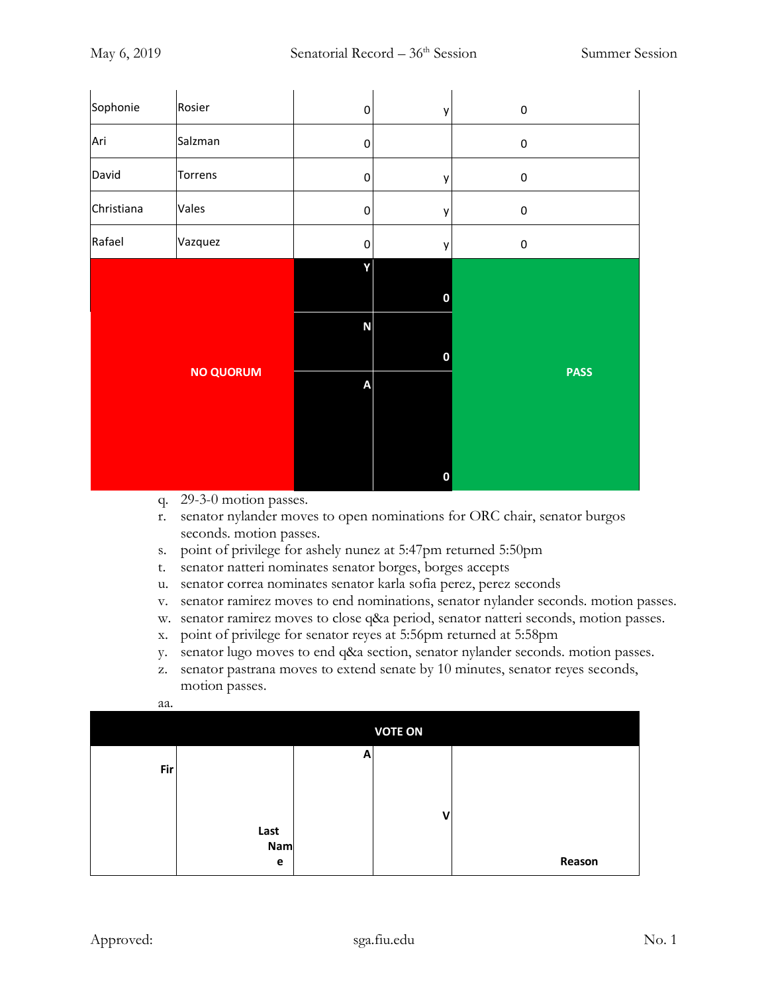|                  |         |                | n            |             |
|------------------|---------|----------------|--------------|-------------|
| <b>NO QUORUM</b> |         | A              |              | <b>PASS</b> |
|                  |         | $\mathsf{N}$   | 0            |             |
|                  |         |                | 0            |             |
| Rafael           | Vazquez | $\pmb{0}$<br>Y | $\mathsf{y}$ | $\pmb{0}$   |
| Christiana       | Vales   | $\pmb{0}$      | y            | $\mathbf 0$ |
| David            | Torrens | $\pmb{0}$      | у            | $\pmb{0}$   |
| Ari              | Salzman | $\pmb{0}$      |              | $\mathbf 0$ |
| Sophonie         | Rosier  | $\pmb{0}$      | y            | $\pmb{0}$   |

- q. 29-3-0 motion passes.
- r. senator nylander moves to open nominations for ORC chair, senator burgos seconds. motion passes.
- s. point of privilege for ashely nunez at 5:47pm returned 5:50pm
- t. senator natteri nominates senator borges, borges accepts
- u. senator correa nominates senator karla sofia perez, perez seconds
- v. senator ramirez moves to end nominations, senator nylander seconds. motion passes.
- w. senator ramirez moves to close q&a period, senator natteri seconds, motion passes.
- x. point of privilege for senator reyes at 5:56pm returned at 5:58pm
- y. senator lugo moves to end q&a section, senator nylander seconds. motion passes.
- z. senator pastrana moves to extend senate by 10 minutes, senator reyes seconds, motion passes.

|            | <b>VOTE ON</b> |   |  |        |
|------------|----------------|---|--|--------|
| <b>Fir</b> |                | A |  |        |
|            | Last           |   |  |        |
|            | Nam<br>e       |   |  | Reason |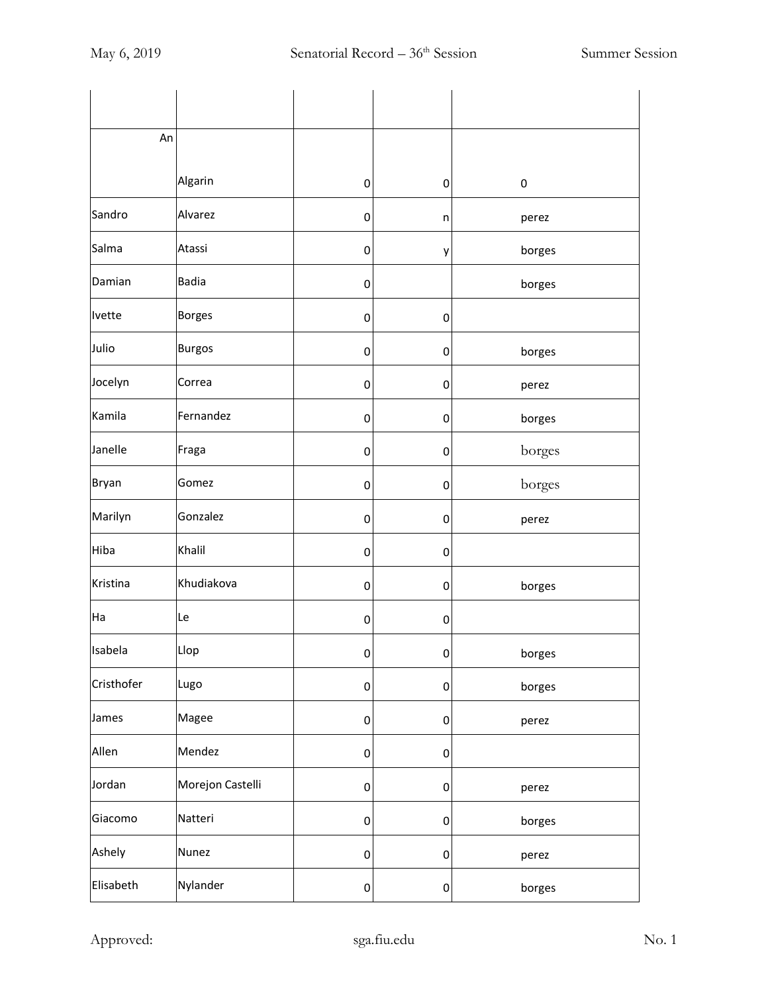| An           |                  |   |             |        |
|--------------|------------------|---|-------------|--------|
|              | Algarin          | 0 | 0           | 0      |
| Sandro       | Alvarez          | 0 | n           | perez  |
| Salma        | Atassi           | 0 | у           | borges |
| Damian       | <b>Badia</b>     | 0 |             | borges |
| Ivette       | <b>Borges</b>    | 0 | 0           |        |
| Julio        | <b>Burgos</b>    | 0 | 0           | borges |
| Jocelyn      | Correa           | 0 | $\mathbf 0$ | perez  |
| Kamila       | Fernandez        | 0 | 0           | borges |
| Janelle      | Fraga            | 0 | $\mathbf 0$ | borges |
| <b>Bryan</b> | Gomez            | 0 | 0           | borges |
| Marilyn      | Gonzalez         | 0 | 0           | perez  |
| Hiba         | Khalil           | 0 | 0           |        |
| Kristina     | Khudiakova       | 0 | 0           | borges |
| Ha           | Le               | 0 | 0           |        |
| Isabela      | Llop             | 0 | $\bf{0}$    | borges |
| Cristhofer   | Lugo             | 0 | $\mathbf 0$ | borges |
| James        | Magee            | 0 | $\mathbf 0$ | perez  |
| Allen        | Mendez           | 0 | 0           |        |
| Jordan       | Morejon Castelli | 0 | $\mathbf 0$ | perez  |
| Giacomo      | Natteri          | 0 | $\pmb{0}$   | borges |
| Ashely       | Nunez            | 0 | $\mathbf 0$ | perez  |
| Elisabeth    | Nylander         | 0 | $\pmb{0}$   | borges |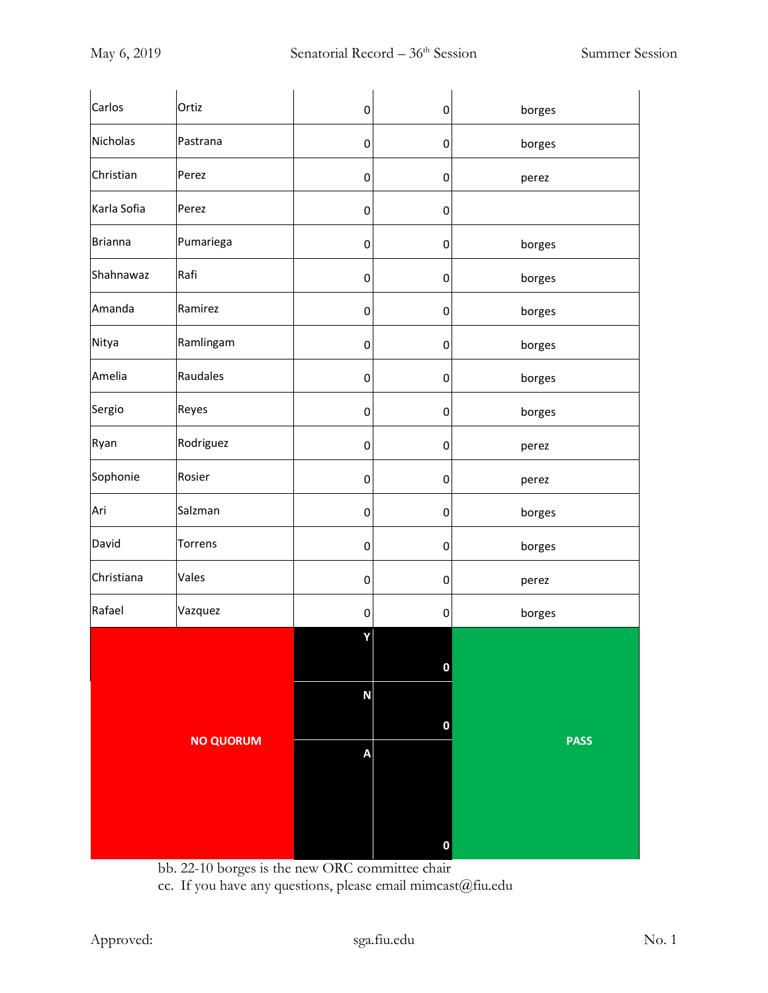|                |                  |           | $\mathbf 0$      |             |
|----------------|------------------|-----------|------------------|-------------|
|                | <b>NO QUORUM</b> |           | $\mathbf 0$<br>A | <b>PASS</b> |
|                |                  | ${\sf N}$ | 0                |             |
| Rafael         | Vazquez          | 0<br>Y    | 0                | borges      |
| Christiana     | Vales            | 0         | 0                | perez       |
| David          | Torrens          | 0         | 0                | borges      |
| Ari            | Salzman          | $\pmb{0}$ | $\pmb{0}$        | borges      |
| Sophonie       | Rosier           | 0         | 0                | perez       |
| Ryan           | Rodriguez        | 0         | 0                | perez       |
| Sergio         | Reyes            | 0         | 0                | borges      |
| Amelia         | Raudales         | 0         | $\pmb{0}$        | borges      |
| Nitya          | Ramlingam        | $\pmb{0}$ | $\mathbf 0$      | borges      |
| Amanda         | Ramirez          | 0         | 0                | borges      |
| Shahnawaz      | Rafi             | 0         | 0                | borges      |
| <b>Brianna</b> | Pumariega        | 0         | $\pmb{0}$        | borges      |
| Karla Sofia    | Perez            | $\pmb{0}$ | $\mathbf 0$      |             |
| Christian      | Perez            | 0         | 0                | perez       |
| Nicholas       | Pastrana         | 0         | $\mathbf 0$      | borges      |
| Carlos         | Ortiz            | 0         | 0                | borges      |

bb. 22-10 borges is the new ORC committee chair

cc. If you have any questions, please email mimcast@fiu.edu